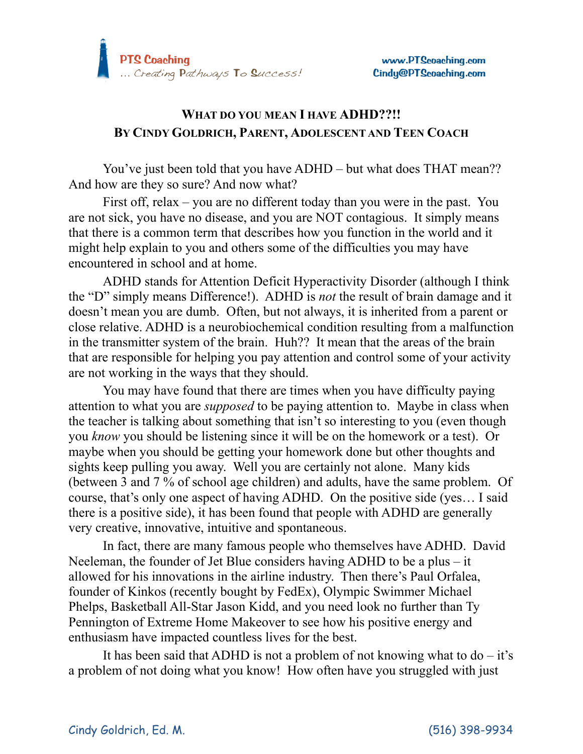

## **WHAT DO YOU MEAN I HAVE ADHD??!! BY CINDY GOLDRICH, PARENT, ADOLESCENT AND TEEN COACH**

You've just been told that you have ADHD – but what does THAT mean?? And how are they so sure? And now what?

First off, relax – you are no different today than you were in the past. You are not sick, you have no disease, and you are NOT contagious. It simply means that there is a common term that describes how you function in the world and it might help explain to you and others some of the difficulties you may have encountered in school and at home.

ADHD stands for Attention Deficit Hyperactivity Disorder (although I think the "D" simply means Difference!). ADHD is *not* the result of brain damage and it doesn't mean you are dumb. Often, but not always, it is inherited from a parent or close relative. ADHD is a neurobiochemical condition resulting from a malfunction in the transmitter system of the brain. Huh?? It mean that the areas of the brain that are responsible for helping you pay attention and control some of your activity are not working in the ways that they should.

You may have found that there are times when you have difficulty paying attention to what you are *supposed* to be paying attention to. Maybe in class when the teacher is talking about something that isn't so interesting to you (even though you *know* you should be listening since it will be on the homework or a test). Or maybe when you should be getting your homework done but other thoughts and sights keep pulling you away. Well you are certainly not alone. Many kids (between 3 and 7 % of school age children) and adults, have the same problem. Of course, that's only one aspect of having ADHD. On the positive side (yes… I said there is a positive side), it has been found that people with ADHD are generally very creative, innovative, intuitive and spontaneous.

In fact, there are many famous people who themselves have ADHD. David Neeleman, the founder of Jet Blue considers having ADHD to be a plus  $-$  it allowed for his innovations in the airline industry. Then there's Paul Orfalea, founder of Kinkos (recently bought by FedEx), Olympic Swimmer Michael Phelps, Basketball All-Star Jason Kidd, and you need look no further than Ty Pennington of Extreme Home Makeover to see how his positive energy and enthusiasm have impacted countless lives for the best.

It has been said that ADHD is not a problem of not knowing what to  $do - it's$ a problem of not doing what you know! How often have you struggled with just